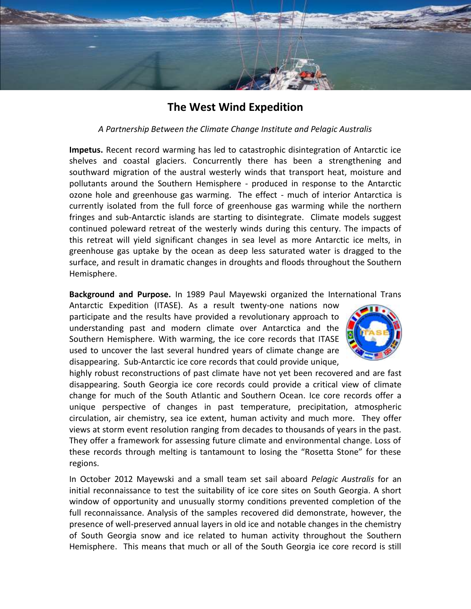

## **The West Wind Expedition**

## *A Partnership Between the Climate Change Institute and Pelagic Australis*

**Impetus.** Recent record warming has led to catastrophic disintegration of Antarctic ice shelves and coastal glaciers. Concurrently there has been a strengthening and southward migration of the austral westerly winds that transport heat, moisture and pollutants around the Southern Hemisphere - produced in response to the Antarctic ozone hole and greenhouse gas warming. The effect - much of interior Antarctica is currently isolated from the full force of greenhouse gas warming while the northern fringes and sub-Antarctic islands are starting to disintegrate. Climate models suggest continued poleward retreat of the westerly winds during this century. The impacts of this retreat will yield significant changes in sea level as more Antarctic ice melts, in greenhouse gas uptake by the ocean as deep less saturated water is dragged to the surface, and result in dramatic changes in droughts and floods throughout the Southern Hemisphere.

**Background and Purpose.** In 1989 Paul Mayewski organized the International Trans

Antarctic Expedition (ITASE). As a result twenty-one nations now participate and the results have provided a revolutionary approach to understanding past and modern climate over Antarctica and the Southern Hemisphere. With warming, the ice core records that ITASE used to uncover the last several hundred years of climate change are disappearing. Sub-Antarctic ice core records that could provide unique,



highly robust reconstructions of past climate have not yet been recovered and are fast disappearing. South Georgia ice core records could provide a critical view of climate change for much of the South Atlantic and Southern Ocean. Ice core records offer a unique perspective of changes in past temperature, precipitation, atmospheric circulation, air chemistry, sea ice extent, human activity and much more. They offer views at storm event resolution ranging from decades to thousands of years in the past. They offer a framework for assessing future climate and environmental change. Loss of these records through melting is tantamount to losing the "Rosetta Stone" for these regions.

In October 2012 Mayewski and a small team set sail aboard *Pelagic Australis* for an initial reconnaissance to test the suitability of ice core sites on South Georgia. A short window of opportunity and unusually stormy conditions prevented completion of the full reconnaissance. Analysis of the samples recovered did demonstrate, however, the presence of well-preserved annual layers in old ice and notable changes in the chemistry of South Georgia snow and ice related to human activity throughout the Southern Hemisphere. This means that much or all of the South Georgia ice core record is still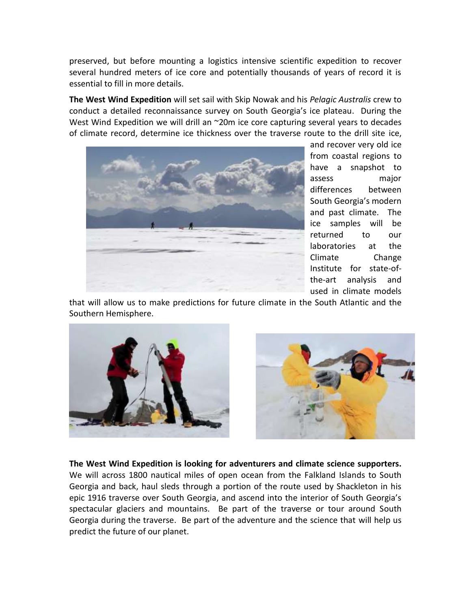preserved, but before mounting a logistics intensive scientific expedition to recover several hundred meters of ice core and potentially thousands of years of record it is essential to fill in more details.

**The West Wind Expedition** will set sail with Skip Nowak and his *Pelagic Australis* crew to conduct a detailed reconnaissance survey on South Georgia's ice plateau. During the West Wind Expedition we will drill an ~20m ice core capturing several years to decades of climate record, determine ice thickness over the traverse route to the drill site ice,



and recover very old ice from coastal regions to have a snapshot to assess major differences between South Georgia's modern and past climate. The ice samples will be returned to our laboratories at the Climate Change Institute for state-ofthe-art analysis and used in climate models

that will allow us to make predictions for future climate in the South Atlantic and the Southern Hemisphere.





**The West Wind Expedition is looking for adventurers and climate science supporters.** We will across 1800 nautical miles of open ocean from the Falkland Islands to South Georgia and back, haul sleds through a portion of the route used by Shackleton in his epic 1916 traverse over South Georgia, and ascend into the interior of South Georgia's spectacular glaciers and mountains. Be part of the traverse or tour around South Georgia during the traverse. Be part of the adventure and the science that will help us predict the future of our planet.